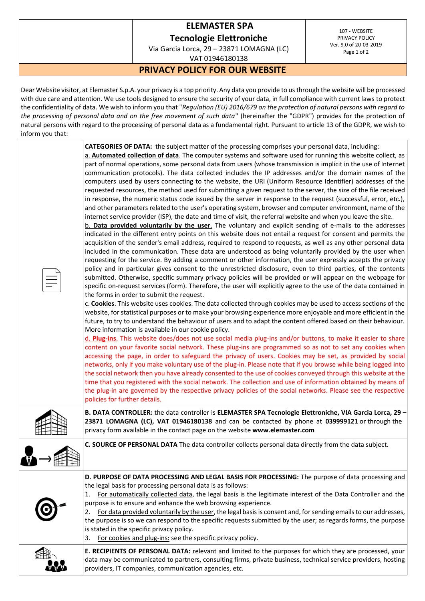## **ELEMASTER SPA**

**Tecnologie Elettroniche**

Via Garcia Lorca, 29 – 23871 LOMAGNA (LC) VAT 01946180138

107 - WEBSITE PRIVACY POLICY Ver. 9.0 of 20-03-2019 Page 1 of 2

## **PRIVACY POLICY FOR OUR WEBSITE**

Dear Website visitor, at Elemaster S.p.A. your privacy is a top priority. Any data you provide to us through the website will be processed with due care and attention. We use tools designed to ensure the security of your data, in full compliance with current laws to protect the confidentiality of data. We wish to inform you that "*Regulation (EU) 2016/679 on the protection of natural persons with regard to the processing of personal data and on the free movement of such data*" (hereinafter the "GDPR") provides for the protection of natural persons with regard to the processing of personal data as a fundamental right. Pursuant to article 13 of the GDPR, we wish to inform you that:

| CATEGORIES OF DATA: the subject matter of the processing comprises your personal data, including:<br>a. Automated collection of data. The computer systems and software used for running this website collect, as<br>part of normal operations, some personal data from users (whose transmission is implicit in the use of Internet<br>communication protocols). The data collected includes the IP addresses and/or the domain names of the<br>computers used by users connecting to the website, the URI (Uniform Resource Identifier) addresses of the<br>requested resources, the method used for submitting a given request to the server, the size of the file received<br>in response, the numeric status code issued by the server in response to the request (successful, error, etc.),<br>and other parameters related to the user's operating system, browser and computer environment, name of the<br>internet service provider (ISP), the date and time of visit, the referral website and when you leave the site.<br>b. Data provided voluntarily by the user. The voluntary and explicit sending of e-mails to the addresses<br>indicated in the different entry points on this website does not entail a request for consent and permits the<br>acquisition of the sender's email address, required to respond to requests, as well as any other personal data<br>included in the communication. These data are understood as being voluntarily provided by the user when<br>requesting for the service. By adding a comment or other information, the user expressly accepts the privacy<br>policy and in particular gives consent to the unrestricted disclosure, even to third parties, of the contents<br>submitted. Otherwise, specific summary privacy policies will be provided or will appear on the webpage for<br>specific on-request services (form). Therefore, the user will explicitly agree to the use of the data contained in<br>the forms in order to submit the request.<br>c. Cookies. This website uses cookies. The data collected through cookies may be used to access sections of the<br>website, for statistical purposes or to make your browsing experience more enjoyable and more efficient in the<br>future, to try to understand the behaviour of users and to adapt the content offered based on their behaviour.<br>More information is available in our cookie policy.<br>d. Plug-ins. This website does/does not use social media plug-ins and/or buttons, to make it easier to share<br>content on your favorite social network. These plug-ins are programmed so as not to set any cookies when<br>accessing the page, in order to safeguard the privacy of users. Cookies may be set, as provided by social<br>networks, only if you make voluntary use of the plug-in. Please note that if you browse while being logged into<br>the social network then you have already consented to the use of cookies conveyed through this website at the<br>time that you registered with the social network. The collection and use of information obtained by means of<br>the plug-in are governed by the respective privacy policies of the social networks. Please see the respective<br>policies for further details. |
|----------------------------------------------------------------------------------------------------------------------------------------------------------------------------------------------------------------------------------------------------------------------------------------------------------------------------------------------------------------------------------------------------------------------------------------------------------------------------------------------------------------------------------------------------------------------------------------------------------------------------------------------------------------------------------------------------------------------------------------------------------------------------------------------------------------------------------------------------------------------------------------------------------------------------------------------------------------------------------------------------------------------------------------------------------------------------------------------------------------------------------------------------------------------------------------------------------------------------------------------------------------------------------------------------------------------------------------------------------------------------------------------------------------------------------------------------------------------------------------------------------------------------------------------------------------------------------------------------------------------------------------------------------------------------------------------------------------------------------------------------------------------------------------------------------------------------------------------------------------------------------------------------------------------------------------------------------------------------------------------------------------------------------------------------------------------------------------------------------------------------------------------------------------------------------------------------------------------------------------------------------------------------------------------------------------------------------------------------------------------------------------------------------------------------------------------------------------------------------------------------------------------------------------------------------------------------------------------------------------------------------------------------------------------------------------------------------------------------------------------------------------------------------------------------------------------------------------------------------------------------------------------------------------------------------------------------------------------------------------------------------------------------------------------------------------------------------------------------------------------------------------------------------------------------------------------------------------------------------------------------------------------------|
| B. DATA CONTROLLER: the data controller is ELEMASTER SPA Tecnologie Elettroniche, VIA Garcia Lorca, 29 -<br>23871 LOMAGNA (LC), VAT 01946180138 and can be contacted by phone at 039999121 or through the<br>privacy form available in the contact page on the website www.elemaster.com                                                                                                                                                                                                                                                                                                                                                                                                                                                                                                                                                                                                                                                                                                                                                                                                                                                                                                                                                                                                                                                                                                                                                                                                                                                                                                                                                                                                                                                                                                                                                                                                                                                                                                                                                                                                                                                                                                                                                                                                                                                                                                                                                                                                                                                                                                                                                                                                                                                                                                                                                                                                                                                                                                                                                                                                                                                                                                                                                                                   |
| C. SOURCE OF PERSONAL DATA The data controller collects personal data directly from the data subject.                                                                                                                                                                                                                                                                                                                                                                                                                                                                                                                                                                                                                                                                                                                                                                                                                                                                                                                                                                                                                                                                                                                                                                                                                                                                                                                                                                                                                                                                                                                                                                                                                                                                                                                                                                                                                                                                                                                                                                                                                                                                                                                                                                                                                                                                                                                                                                                                                                                                                                                                                                                                                                                                                                                                                                                                                                                                                                                                                                                                                                                                                                                                                                      |
| D. PURPOSE OF DATA PROCESSING AND LEGAL BASIS FOR PROCESSING: The purpose of data processing and<br>the legal basis for processing personal data is as follows:<br>For automatically collected data, the legal basis is the legitimate interest of the Data Controller and the<br>1.<br>purpose is to ensure and enhance the web browsing experience.<br>For data provided voluntarily by the user, the legal basis is consent and, for sending emails to our addresses,<br>2.<br>the purpose is so we can respond to the specific requests submitted by the user; as regards forms, the purpose<br>is stated in the specific privacy policy.<br>For cookies and plug-ins: see the specific privacy policy.<br>3.<br>E. RECIPIENTS OF PERSONAL DATA: relevant and limited to the purposes for which they are processed, your                                                                                                                                                                                                                                                                                                                                                                                                                                                                                                                                                                                                                                                                                                                                                                                                                                                                                                                                                                                                                                                                                                                                                                                                                                                                                                                                                                                                                                                                                                                                                                                                                                                                                                                                                                                                                                                                                                                                                                                                                                                                                                                                                                                                                                                                                                                                                                                                                                               |
| data may be communicated to partners, consulting firms, private business, technical service providers, hosting<br>providers, IT companies, communication agencies, etc.                                                                                                                                                                                                                                                                                                                                                                                                                                                                                                                                                                                                                                                                                                                                                                                                                                                                                                                                                                                                                                                                                                                                                                                                                                                                                                                                                                                                                                                                                                                                                                                                                                                                                                                                                                                                                                                                                                                                                                                                                                                                                                                                                                                                                                                                                                                                                                                                                                                                                                                                                                                                                                                                                                                                                                                                                                                                                                                                                                                                                                                                                                    |